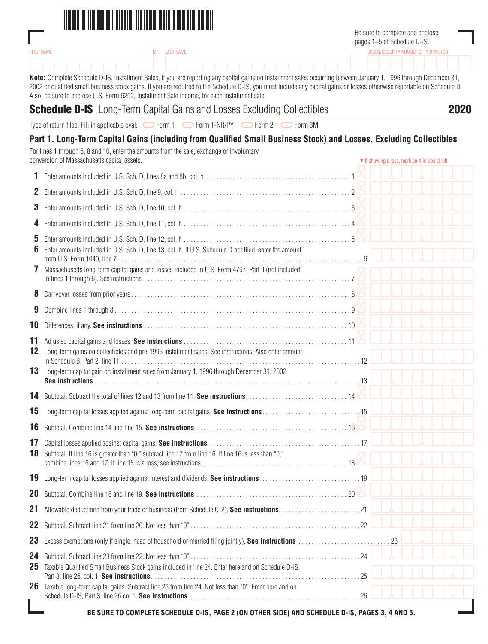

|                   |                                                                         | Be sure to complete and enclose<br>pages 1–5 of Schedule D-IS. |
|-------------------|-------------------------------------------------------------------------|----------------------------------------------------------------|
| <b>FIRST NAME</b> | M.I. LAST NAME                                                          | SOCIAL SECURITY NUMBER OF PROPRIETOR                           |
|                   | .                                                                       |                                                                |
|                   | גמו תוומממג גוויון יודי ווידי יודי ויודי מותוומות ווידי ומותוויות ומותו |                                                                |

**Note:** Complete Schedule D-IS, Installment Sales, if you are reporting any capital gains on installment sales occurring between January 1, 1996 through December 31, 2002 or qualified small business stock gains. If you are required to file Schedule D-IS, you must include any capital gains or losses otherwise reportable on Schedule D. Also, be sure to enclose U.S. Form 6252, Installment Sale Income, for each installment sale.

| <b>Schedule D-IS</b> Long-Term Capital Gains and Losses Excluding Collectibles<br>Type of return filed. Fill in applicable oval: Gorm 1 Gorm 1 -NR/PY Gorm 2 Gorm 3M                                                 |                                               |  |
|----------------------------------------------------------------------------------------------------------------------------------------------------------------------------------------------------------------------|-----------------------------------------------|--|
| Part 1. Long-Term Capital Gains (including from Qualified Small Business Stock) and Losses, Excluding Collectibles                                                                                                   |                                               |  |
| For lines 1 through 6, 8 and 10, enter the amounts from the sale, exchange or involuntary<br>conversion of Massachusetts capital assets.                                                                             | ▼ If showing a loss, mark an X in box at left |  |
| 1                                                                                                                                                                                                                    |                                               |  |
| 2                                                                                                                                                                                                                    |                                               |  |
| 3                                                                                                                                                                                                                    |                                               |  |
| 4                                                                                                                                                                                                                    |                                               |  |
| 5<br>6<br>Enter amounts included in U.S. Sch. D, line 13, col. h. If U.S. Schedule D not filed, enter the amount                                                                                                     |                                               |  |
| Massachusetts long-term capital gains and losses included in U.S. Form 4797, Part II (not included<br>7                                                                                                              |                                               |  |
| 8                                                                                                                                                                                                                    |                                               |  |
| 9                                                                                                                                                                                                                    |                                               |  |
| 10                                                                                                                                                                                                                   |                                               |  |
| 11<br>Long-term gains on collectibles and pre-1996 installment sales. See instructions. Also enter amount<br>12<br>Long-term capital gain on installment sales from January 1, 1996 through December 31, 2002.<br>13 |                                               |  |
| 14                                                                                                                                                                                                                   |                                               |  |
| Long-term capital losses applied against long-term capital gains. See instructions15<br>15                                                                                                                           |                                               |  |
| 16                                                                                                                                                                                                                   |                                               |  |
| 17<br>18<br>Subtotal. If line 16 is greater than "0," subtract line 17 from line 16. If line 16 is less than "0,"                                                                                                    |                                               |  |
| 19                                                                                                                                                                                                                   |                                               |  |
| 20                                                                                                                                                                                                                   |                                               |  |
| 21                                                                                                                                                                                                                   |                                               |  |
| 22                                                                                                                                                                                                                   |                                               |  |
| 23                                                                                                                                                                                                                   |                                               |  |
| 24<br>Taxable Qualified Small Business Stock gains included in line 24. Enter here and on Schedule D-IS,<br>25                                                                                                       |                                               |  |

**BE SURE TO COMPLETE SCHEDULE D-IS, PAGE 2 (ON OTHER SIDE) AND SCHEDULE D-IS, PAGES 3, 4 AND 5.**

Part 3, line 26, col. 1. **See instructions**. 25

Schedule D-IS, Part 3, line 26 col 1. **See instructions**. 26

26 Taxable long-term capital gains. Subtract line 25 from line 24. Not less than "0". Enter here and on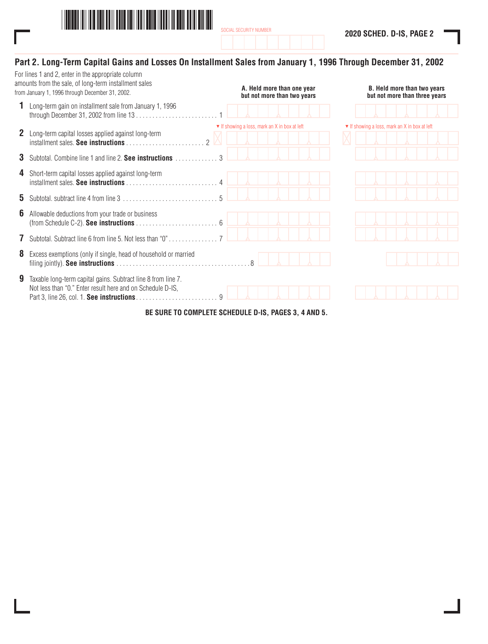

## **Part 2. Long-Term Capital Gains and Losses On Installment Sales from January 1, 1996 Through December 31, 2002**

|              | For lines 1 and 2, enter in the appropriate column<br>amounts from the sale, of long-term installment sales<br>from January 1, 1996 through December 31, 2002. | A. Held more than one year<br>but not more than two years |  | <b>B.</b> Held more than two years<br>but not more than three years |  |
|--------------|----------------------------------------------------------------------------------------------------------------------------------------------------------------|-----------------------------------------------------------|--|---------------------------------------------------------------------|--|
|              | Long-term gain on installment sale from January 1, 1996                                                                                                        |                                                           |  |                                                                     |  |
| $\mathbf{z}$ | Long-term capital losses applied against long-term<br>$\mathfrak{D}$                                                                                           | ▼ If showing a loss, mark an X in box at left             |  | ▼ If showing a loss, mark an X in box at left                       |  |
| 3            | Subtotal. Combine line 1 and line 2. See instructions                                                                                                          |                                                           |  |                                                                     |  |
| 4            | Short-term capital losses applied against long-term                                                                                                            |                                                           |  |                                                                     |  |
| 5.           | $5 \nightharpoonup$                                                                                                                                            |                                                           |  |                                                                     |  |
| 6            | Allowable deductions from your trade or business                                                                                                               |                                                           |  |                                                                     |  |
|              | Subtotal. Subtract line 6 from line 5. Not less than "0" 7                                                                                                     |                                                           |  |                                                                     |  |
| 8            | Excess exemptions (only if single, head of household or married                                                                                                |                                                           |  |                                                                     |  |
| 9            | Taxable long-term capital gains. Subtract line 8 from line 7.<br>Not less than "0." Enter result here and on Schedule D-IS,<br>$\mathsf{Q}$                    |                                                           |  |                                                                     |  |

**BE SURE TO COMPLETE SCHEDULE D-IS, PAGES 3, 4 AND 5.**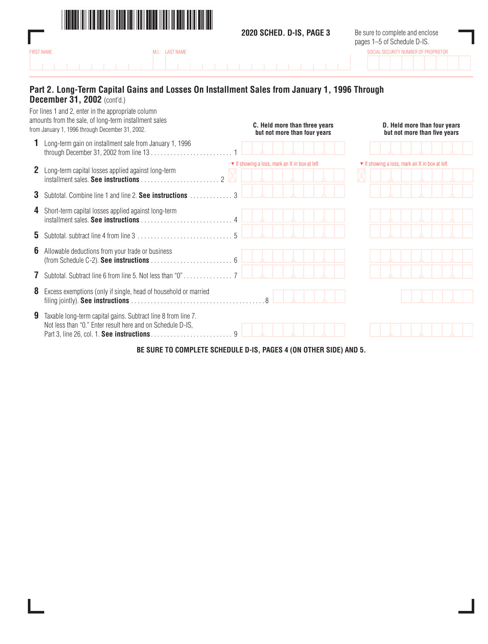

ı

**2020 SCHED. D-IS, PAGE 3**

Be sure to complete and enclose pages 1–5 of Schedule D-IS.

| <b>FIRST NAME</b> |  | M.I. LAST NAME |  |  |  |  |  |  |  |  |  |  | SOCIAL SECURITY NUMBER OF PROPRIETOR |  |  |
|-------------------|--|----------------|--|--|--|--|--|--|--|--|--|--|--------------------------------------|--|--|
|                   |  |                |  |  |  |  |  |  |  |  |  |  |                                      |  |  |
|                   |  | .              |  |  |  |  |  |  |  |  |  |  |                                      |  |  |
|                   |  |                |  |  |  |  |  |  |  |  |  |  |                                      |  |  |

## **Part 2. Long-Term Capital Gains and Losses On Installment Sales from January 1, 1996 Through December 31, 2002** (cont'd.)

|    | For lines 1 and 2, enter in the appropriate column<br>amounts from the sale, of long-term installment sales<br>from January 1, 1996 through December 31, 2002.                        |               |                                               |  | C. Held more than three years<br>but not more than four years |  |  | D. Held more than four years<br>but not more than five years |  |  |
|----|---------------------------------------------------------------------------------------------------------------------------------------------------------------------------------------|---------------|-----------------------------------------------|--|---------------------------------------------------------------|--|--|--------------------------------------------------------------|--|--|
|    | Long-term gain on installment sale from January 1, 1996                                                                                                                               |               |                                               |  |                                                               |  |  |                                                              |  |  |
|    | <b>2</b> Long-term capital losses applied against long-term<br>$\mathfrak{D}$<br>$intallment$ sales. See instructions $\ldots$ , $\ldots$ , $\ldots$ , $\ldots$ , $\ldots$ , $\ldots$ |               | ▼ If showing a loss, mark an X in box at left |  |                                                               |  |  | ▼ If showing a loss, mark an X in box at left                |  |  |
| 3  | Subtotal. Combine line 1 and line 2. See instructions                                                                                                                                 | $\mathcal{S}$ |                                               |  |                                                               |  |  |                                                              |  |  |
| 4  | Short-term capital losses applied against long-term                                                                                                                                   |               |                                               |  |                                                               |  |  |                                                              |  |  |
| 5. |                                                                                                                                                                                       |               |                                               |  |                                                               |  |  |                                                              |  |  |
| 6  | Allowable deductions from your trade or business                                                                                                                                      |               |                                               |  |                                                               |  |  |                                                              |  |  |
|    | Subtotal. Subtract line 6 from line 5. Not less than "0"                                                                                                                              |               |                                               |  |                                                               |  |  |                                                              |  |  |
| 8  | Excess exemptions (only if single, head of household or married                                                                                                                       |               | $\mathcal{R}$                                 |  |                                                               |  |  |                                                              |  |  |
| 9  | Taxable long-term capital gains. Subtract line 8 from line 7.<br>Not less than "0." Enter result here and on Schedule D-IS,                                                           | Q             |                                               |  |                                                               |  |  |                                                              |  |  |
|    |                                                                                                                                                                                       |               |                                               |  |                                                               |  |  |                                                              |  |  |

**BE SURE TO COMPLETE SCHEDULE D-IS, PAGES 4 (ON OTHER SIDE) AND 5.**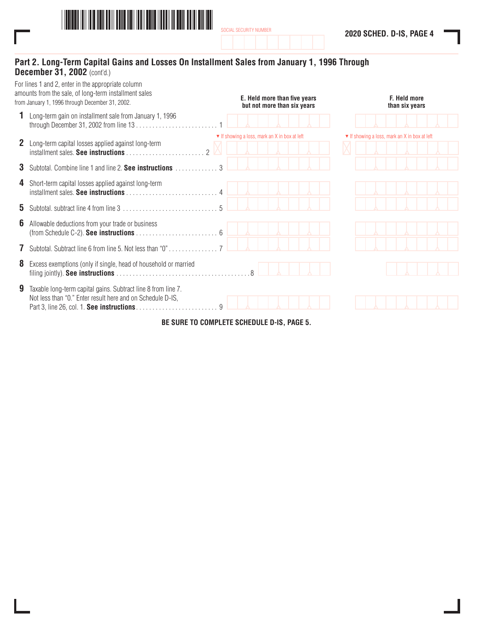

## **Part 2. Long-Term Capital Gains and Losses On Installment Sales from January 1, 1996 Through December 31, 2002** (cont'd.)

|    | For lines 1 and 2, enter in the appropriate column<br>amounts from the sale, of long-term installment sales<br>from January 1, 1996 through December 31, 2002. |               |                                               | E. Held more than five years<br>but not more than six years |  |  | F. Held more<br>than six years                |  |
|----|----------------------------------------------------------------------------------------------------------------------------------------------------------------|---------------|-----------------------------------------------|-------------------------------------------------------------|--|--|-----------------------------------------------|--|
|    | Long-term gain on installment sale from January 1, 1996                                                                                                        |               |                                               |                                                             |  |  |                                               |  |
|    | <b>2</b> Long-term capital losses applied against long-term                                                                                                    |               | ▼ If showing a loss, mark an X in box at left |                                                             |  |  | ▼ If showing a loss, mark an X in box at left |  |
| 3. | Subtotal. Combine line 1 and line 2. See instructions                                                                                                          | $\mathcal{S}$ |                                               |                                                             |  |  |                                               |  |
|    | 4 Short-term capital losses applied against long-term                                                                                                          |               |                                               |                                                             |  |  |                                               |  |
| 5. |                                                                                                                                                                | $\sqrt{2}$    |                                               |                                                             |  |  |                                               |  |
| 6  | Allowable deductions from your trade or business                                                                                                               |               |                                               |                                                             |  |  |                                               |  |
|    | Subtotal. Subtract line 6 from line 5. Not less than "0"                                                                                                       |               |                                               |                                                             |  |  |                                               |  |
| 8  | Excess exemptions (only if single, head of household or married                                                                                                |               |                                               |                                                             |  |  |                                               |  |
| 9  | Taxable long-term capital gains. Subtract line 8 from line 7.<br>Not less than "0." Enter result here and on Schedule D-IS,                                    | $\mathsf{Q}$  |                                               |                                                             |  |  |                                               |  |

**BE SURE TO COMPLETE SCHEDULE D-IS, PAGE 5.**